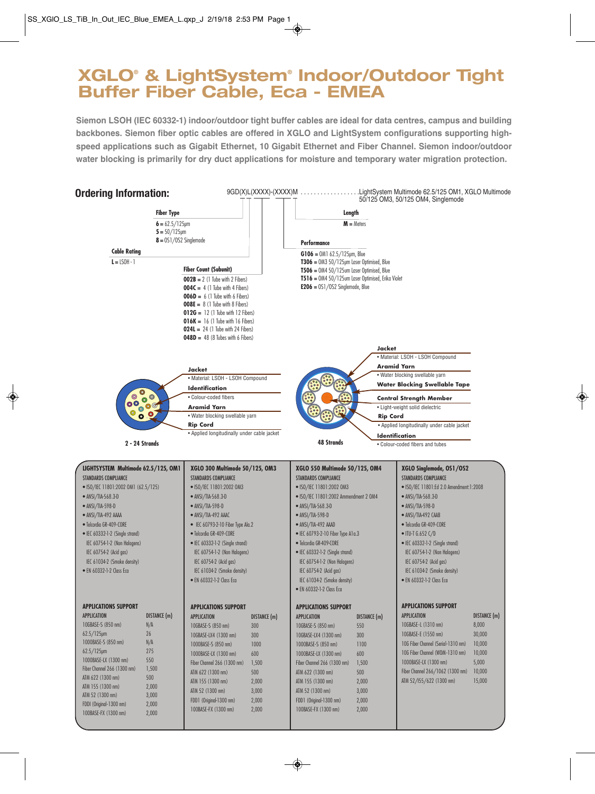## **XGLO® & LightSystem® Indoor/Outdoor Tight Buffer Fiber Cable, Eca - EMEA**

**Siemon LSOH (IEC 60332-1) indoor/outdoor tight buffer cables are ideal for data centres, campus and building backbones. Siemon fiber optic cables are offered in XGLO and LightSystem configurations supporting highspeed applications such as Gigabit Ethernet, 10 Gigabit Ethernet and Fiber Channel. Siemon indoor/outdoor water blocking is primarily for dry duct applications for moisture and temporary water migration protection.**